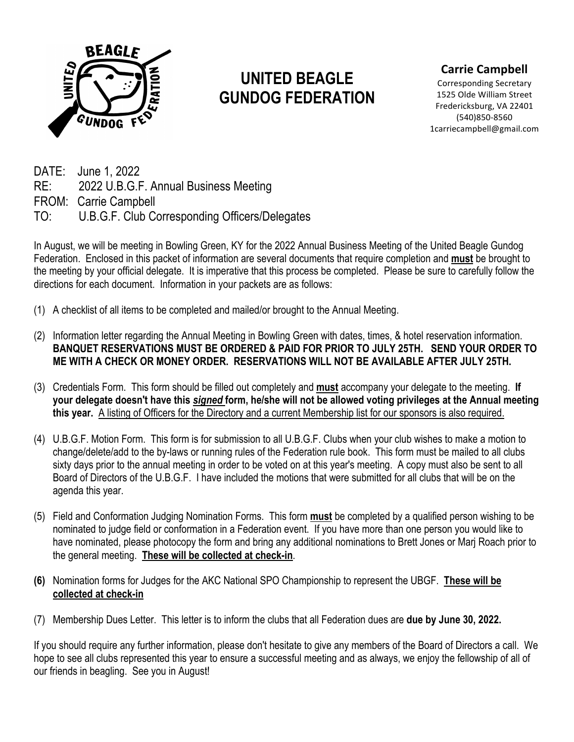

### **Carrie Campbell**

Corresponding Secretary 1525 Olde William Street Fredericksburg, VA 22401 (540)850-8560 1carriecampbell@gmail.com

DATE: June 1, 2022 RE: 2022 U.B.G.F. Annual Business Meeting FROM: Carrie Campbell TO: U.B.G.F. Club Corresponding Officers/Delegates

In August, we will be meeting in Bowling Green, KY for the 2022 Annual Business Meeting of the United Beagle Gundog Federation. Enclosed in this packet of information are several documents that require completion and **must** be brought to the meeting by your official delegate. It is imperative that this process be completed. Please be sure to carefully follow the directions for each document. Information in your packets are as follows:

- (1) A checklist of all items to be completed and mailed/or brought to the Annual Meeting.
- (2) Information letter regarding the Annual Meeting in Bowling Green with dates, times, & hotel reservation information. **BANQUET RESERVATIONS MUST BE ORDERED & PAID FOR PRIOR TO JULY 25TH. SEND YOUR ORDER TO ME WITH A CHECK OR MONEY ORDER. RESERVATIONS WILL NOT BE AVAILABLE AFTER JULY 25TH.**
- (3) Credentials Form. This form should be filled out completely and **must** accompany your delegate to the meeting. **If your delegate doesn't have this** *signed* **form, he/she will not be allowed voting privileges at the Annual meeting this year.** A listing of Officers for the Directory and a current Membership list for our sponsors is also required.
- (4) U.B.G.F. Motion Form. This form is for submission to all U.B.G.F. Clubs when your club wishes to make a motion to change/delete/add to the by-laws or running rules of the Federation rule book. This form must be mailed to all clubs sixty days prior to the annual meeting in order to be voted on at this year's meeting. A copy must also be sent to all Board of Directors of the U.B.G.F. I have included the motions that were submitted for all clubs that will be on the agenda this year.
- (5) Field and Conformation Judging Nomination Forms. This form **must** be completed by a qualified person wishing to be nominated to judge field or conformation in a Federation event. If you have more than one person you would like to have nominated, please photocopy the form and bring any additional nominations to Brett Jones or Marj Roach prior to the general meeting. **These will be collected at check-in**.
- **(6)** Nomination forms for Judges for the AKC National SPO Championship to represent the UBGF. **These will be collected at check-in**
- (7) Membership Dues Letter. This letter is to inform the clubs that all Federation dues are **due by June 30, 2022.**

If you should require any further information, please don't hesitate to give any members of the Board of Directors a call. We hope to see all clubs represented this year to ensure a successful meeting and as always, we enjoy the fellowship of all of our friends in beagling. See you in August!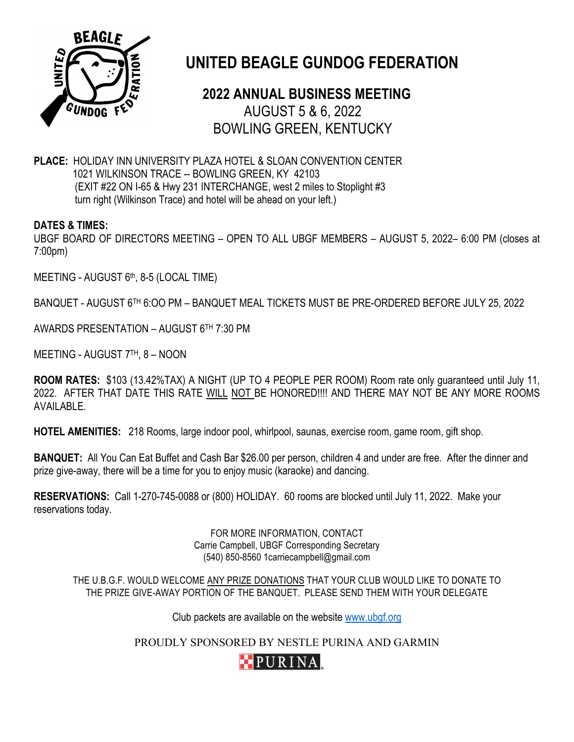

# **2022 ANNUAL BUSINESS MEETING** AUGUST 5 & 6, 2022 BOWLING GREEN, KENTUCKY

**PLACE:** HOLIDAY INN UNIVERSITY PLAZA HOTEL & SLOAN CONVENTION CENTER 1021 WILKINSON TRACE -- BOWLING GREEN, KY 42103 (EXIT #22 ON I-65 & Hwy 231 INTERCHANGE, west 2 miles to Stoplight #3 turn right (Wilkinson Trace) and hotel will be ahead on your left.)

#### **DATES & TIMES:**

UBGF BOARD OF DIRECTORS MEETING – OPEN TO ALL UBGF MEMBERS – AUGUST 5, 2022– 6:00 PM (closes at 7:00pm)

MEETING - AUGUST 6th, 8-5 (LOCAL TIME)

BANQUET - AUGUST 6TH 6:OO PM – BANQUET MEAL TICKETS MUST BE PRE-ORDERED BEFORE JULY 25, 2022

AWARDS PRESENTATION – AUGUST 6TH 7:30 PM

MEETING - AUGUST 7TH, 8 – NOON

**ROOM RATES:** \$103 (13.42%TAX) A NIGHT (UP TO 4 PEOPLE PER ROOM) Room rate only guaranteed until July 11, 2022. AFTER THAT DATE THIS RATE WILL NOT BE HONORED!!!! AND THERE MAY NOT BE ANY MORE ROOMS AVAILABLE.

**HOTEL AMENITIES:** 218 Rooms, large indoor pool, whirlpool, saunas, exercise room, game room, gift shop.

**BANQUET:** All You Can Eat Buffet and Cash Bar \$26.00 per person, children 4 and under are free. After the dinner and prize give-away, there will be a time for you to enjoy music (karaoke) and dancing.

**RESERVATIONS:** Call 1-270-745-0088 or (800) HOLIDAY. 60 rooms are blocked until July 11, 2022. Make your reservations today.

> FOR MORE INFORMATION, CONTACT Carrie Campbell, UBGF Corresponding Secretary (540) 850-8560 1carriecampbell@gmail.com

THE U.B.G.F. WOULD WELCOME ANY PRIZE DONATIONS THAT YOUR CLUB WOULD LIKE TO DONATE TO THE PRIZE GIVE-AWAY PORTION OF THE BANQUET. PLEASE SEND THEM WITH YOUR DELEGATE

Club packets are available on the website www.ubgf.org

PROUDLY SPONSORED BY NESTLE PURINA AND GARMIN

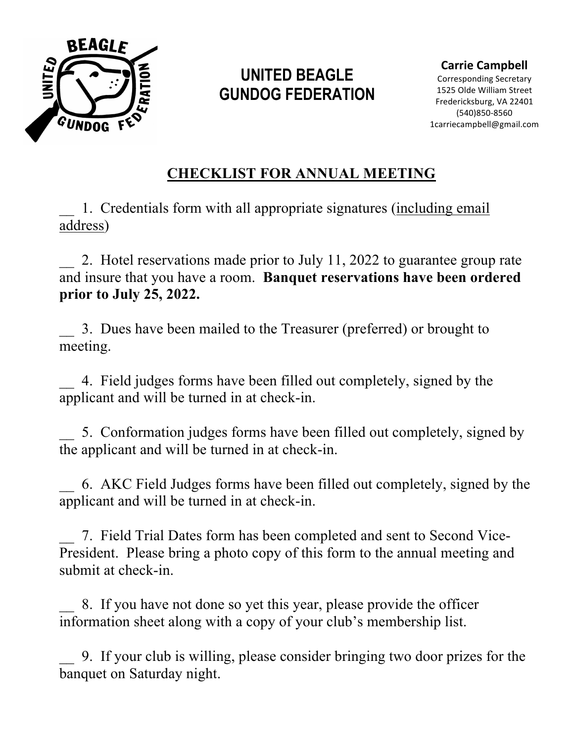

**Carrie Campbell**

Corresponding Secretary 1525 Olde William Street Fredericksburg, VA 22401 (540)850-8560 1carriecampbell@gmail.com

# **CHECKLIST FOR ANNUAL MEETING**

\_\_ 1. Credentials form with all appropriate signatures (including email address)

2. Hotel reservations made prior to July 11, 2022 to guarantee group rate and insure that you have a room. **Banquet reservations have been ordered prior to July 25, 2022.**

\_\_ 3. Dues have been mailed to the Treasurer (preferred) or brought to meeting.

\_\_ 4. Field judges forms have been filled out completely, signed by the applicant and will be turned in at check-in.

5. Conformation judges forms have been filled out completely, signed by the applicant and will be turned in at check-in.

\_\_ 6. AKC Field Judges forms have been filled out completely, signed by the applicant and will be turned in at check-in.

\_\_ 7. Field Trial Dates form has been completed and sent to Second Vice-President. Please bring a photo copy of this form to the annual meeting and submit at check-in.

\_\_ 8. If you have not done so yet this year, please provide the officer information sheet along with a copy of your club's membership list.

\_\_ 9. If your club is willing, please consider bringing two door prizes for the banquet on Saturday night.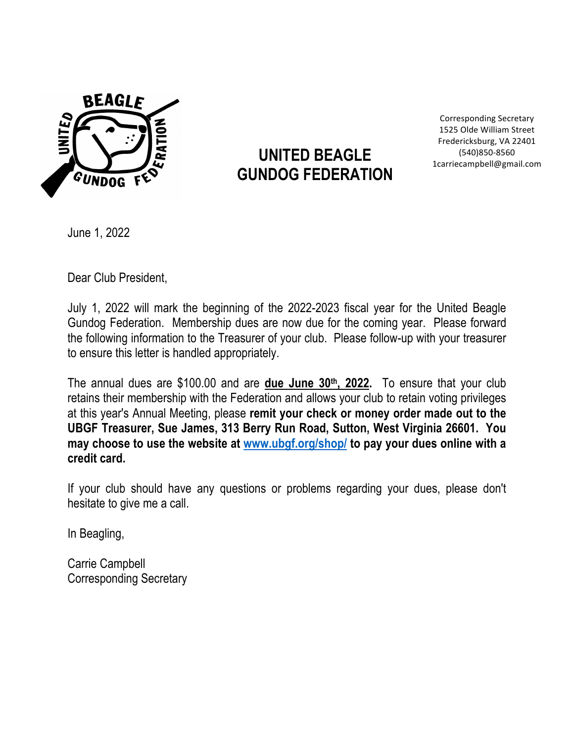

Corresponding Secretary 1525 Olde William Street Fredericksburg, VA 22401 (540)850-8560 1carriecampbell@gmail.com

June 1, 2022

Dear Club President,

July 1, 2022 will mark the beginning of the 2022-2023 fiscal year for the United Beagle Gundog Federation. Membership dues are now due for the coming year. Please forward the following information to the Treasurer of your club. Please follow-up with your treasurer to ensure this letter is handled appropriately.

The annual dues are \$100.00 and are **due June 30th, 2022.** To ensure that your club retains their membership with the Federation and allows your club to retain voting privileges at this year's Annual Meeting, please **remit your check or money order made out to the UBGF Treasurer, Sue James, 313 Berry Run Road, Sutton, West Virginia 26601. You may choose to use the website at www.ubgf.org/shop/ to pay your dues online with a credit card.**

If your club should have any questions or problems regarding your dues, please don't hesitate to give me a call.

In Beagling,

Carrie Campbell Corresponding Secretary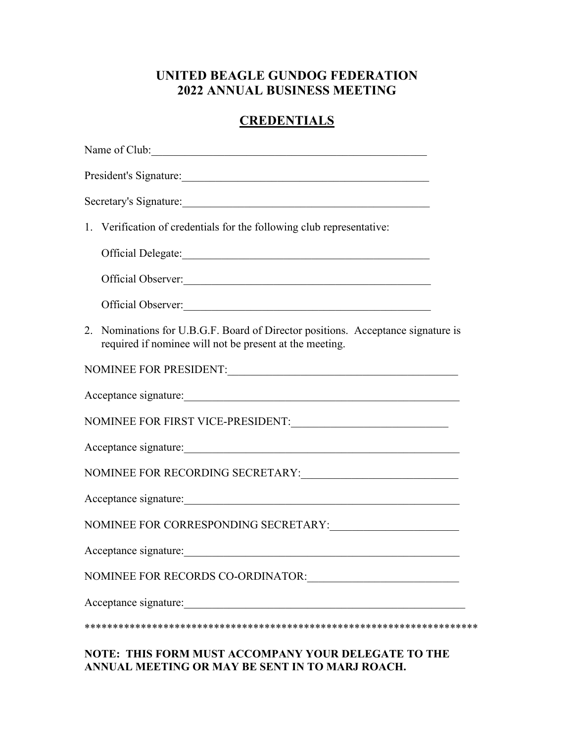### **UNITED BEAGLE GUNDOG FEDERATION 2022 ANNUAL BUSINESS MEETING**

# **CREDENTIALS**

| Name of Club:                                                                                                                               |
|---------------------------------------------------------------------------------------------------------------------------------------------|
| President's Signature:                                                                                                                      |
| Secretary's Signature:                                                                                                                      |
| 1. Verification of credentials for the following club representative:                                                                       |
|                                                                                                                                             |
| Official Observer:                                                                                                                          |
| Official Observer:                                                                                                                          |
| 2. Nominations for U.B.G.F. Board of Director positions. Acceptance signature is<br>required if nominee will not be present at the meeting. |
| NOMINEE FOR PRESIDENT:                                                                                                                      |
| Acceptance signature:                                                                                                                       |
|                                                                                                                                             |
| Acceptance signature:                                                                                                                       |
|                                                                                                                                             |
| Acceptance signature:                                                                                                                       |
|                                                                                                                                             |
| Acceptance signature:                                                                                                                       |
| NOMINEE FOR RECORDS CO-ORDINATOR:                                                                                                           |
| Acceptance signature:                                                                                                                       |
|                                                                                                                                             |
| <b>DIE LEIGH</b>                                                                                                                            |

#### **NOTE: THIS FORM MUST ACCOMPANY YOUR DELEGATE TO THE ANNUAL MEETING OR MAY BE SENT IN TO MARJ ROACH.**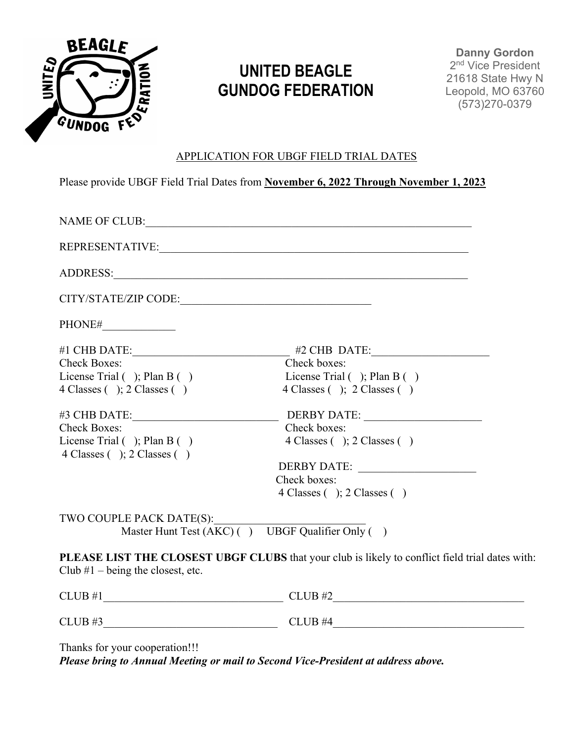

**Danny Gordon**  2<sup>nd</sup> Vice President 21618 State Hwy N Leopold, MO 63760 (573)270-0379

#### APPLICATION FOR UBGF FIELD TRIAL DATES

Please provide UBGF Field Trial Dates from **November 6, 2022 Through November 1, 2023**

|                                                                                        | REPRESENTATIVE:                                                                                 |  |
|----------------------------------------------------------------------------------------|-------------------------------------------------------------------------------------------------|--|
|                                                                                        |                                                                                                 |  |
|                                                                                        |                                                                                                 |  |
|                                                                                        |                                                                                                 |  |
|                                                                                        |                                                                                                 |  |
| <b>Check Boxes:</b>                                                                    | Check boxes:                                                                                    |  |
| License Trial $( )$ ; Plan B $( )$                                                     | License Trial $( )$ ; Plan B $( )$                                                              |  |
| $4 \text{ Classes}$ ( ); $2 \text{ Classes}$ ( )                                       | 4 Classes ( ); 2 Classes ( )                                                                    |  |
|                                                                                        |                                                                                                 |  |
| <b>Check Boxes:</b>                                                                    | Check boxes:                                                                                    |  |
| License Trial $( )$ ; Plan B $( )$<br>$4 \text{ Classes}$ ( ); $2 \text{ Classes}$ ( ) | $4 \text{ Classes}$ ( ); $2 \text{ Classes}$ ( )                                                |  |
|                                                                                        | DERBY DATE:                                                                                     |  |
|                                                                                        | Check boxes:                                                                                    |  |
|                                                                                        | 4 Classes ( ); 2 Classes ( )                                                                    |  |
| TWO COUPLE PACK DATE(S):                                                               | Master Hunt Test $(AKC)$ ( ) UBGF Qualifier Only ( )                                            |  |
| Club $#1$ – being the closest, etc.                                                    | PLEASE LIST THE CLOSEST UBGF CLUBS that your club is likely to conflict field trial dates with: |  |
|                                                                                        | $CLUB$ #2                                                                                       |  |
| $CLUB$ #3                                                                              | $CLUB$ #4                                                                                       |  |

Thanks for your cooperation!!!

*Please bring to Annual Meeting or mail to Second Vice-President at address above.*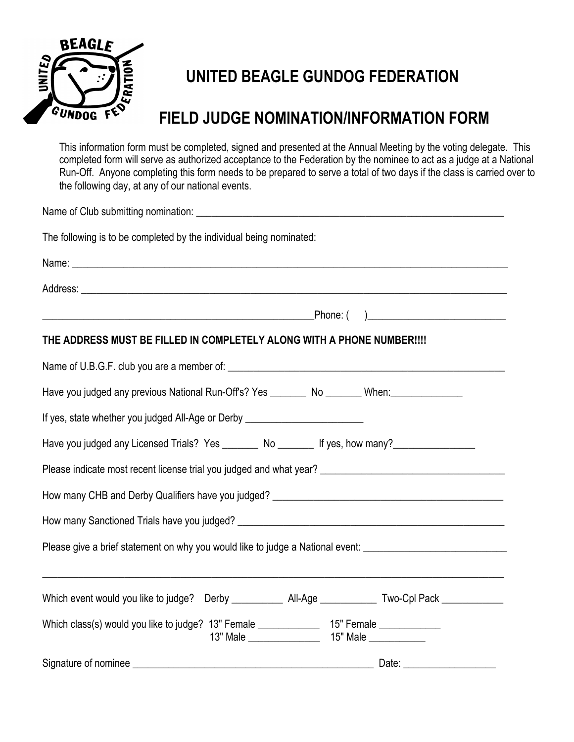

# **FIELD JUDGE NOMINATION/INFORMATION FORM**

This information form must be completed, signed and presented at the Annual Meeting by the voting delegate. This completed form will serve as authorized acceptance to the Federation by the nominee to act as a judge at a National Run-Off. Anyone completing this form needs to be prepared to serve a total of two days if the class is carried over to the following day, at any of our national events.

| Name of Club submitting nomination: Name of Club Submitting of Club Submitting of Club Submitting of Club Submitting of Club Submitting of Club Submitting of Club Submitting of Club Submitting of Club Submitting of Club Su |  |  |  |
|--------------------------------------------------------------------------------------------------------------------------------------------------------------------------------------------------------------------------------|--|--|--|
| The following is to be completed by the individual being nominated:                                                                                                                                                            |  |  |  |
|                                                                                                                                                                                                                                |  |  |  |
|                                                                                                                                                                                                                                |  |  |  |
| THE ADDRESS MUST BE FILLED IN COMPLETELY ALONG WITH A PHONE NUMBER !!!!                                                                                                                                                        |  |  |  |
|                                                                                                                                                                                                                                |  |  |  |
| Have you judged any previous National Run-Off's? Yes ________ No _______ When:_______________                                                                                                                                  |  |  |  |
| If yes, state whether you judged All-Age or Derby ______________________________                                                                                                                                               |  |  |  |
| Have you judged any Licensed Trials? Yes _________ No ________ If yes, how many?                                                                                                                                               |  |  |  |
| Please indicate most recent license trial you judged and what year? ________________________________                                                                                                                           |  |  |  |
|                                                                                                                                                                                                                                |  |  |  |
|                                                                                                                                                                                                                                |  |  |  |
| Please give a brief statement on why you would like to judge a National event: ______________________________                                                                                                                  |  |  |  |
|                                                                                                                                                                                                                                |  |  |  |
| Which class(s) would you like to judge? 13" Female _______________ 15" Female ____________                                                                                                                                     |  |  |  |
| Signature of nominee                                                                                                                                                                                                           |  |  |  |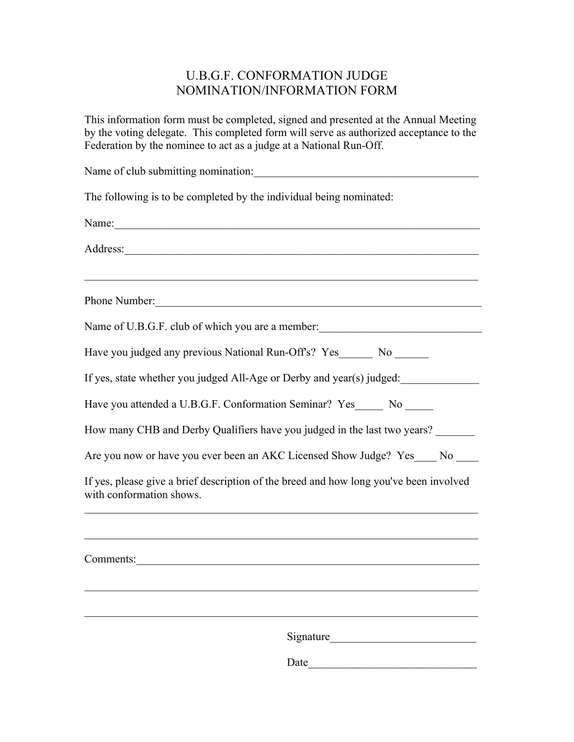### U.B.G.F. CONFORMATION JUDGE NOMINATION/INFORMATION FORM

This information form must be completed, signed and presented at the Annual Meeting by the voting delegate. This completed form will serve as authorized acceptance to the Federation by the nominee to act as a judge at a National Run-Off.

Name of club submitting nomination: The following is to be completed by the individual being nominated: Name: Address: Phone Number: Name of U.B.G.F. club of which you are a member: Have you judged any previous National Run-Off's? Yes No If yes, state whether you judged All-Age or Derby and year(s) judged: Have you attended a U.B.G.F. Conformation Seminar? Yes No How many CHB and Derby Qualifiers have you judged in the last two years? Are you now or have you ever been an AKC Licensed Show Judge? Yes No

If yes, please give a brief description of the breed and how long you've been involved with conformation shows.

| Comments: |           |  |
|-----------|-----------|--|
|           |           |  |
|           |           |  |
|           | Signature |  |
|           | Date      |  |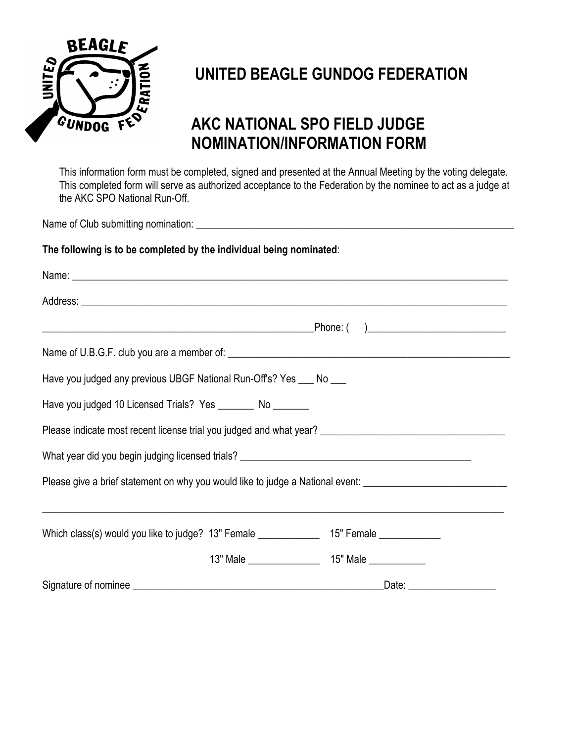

# **AKC NATIONAL SPO FIELD JUDGE NOMINATION/INFORMATION FORM**

This information form must be completed, signed and presented at the Annual Meeting by the voting delegate. This completed form will serve as authorized acceptance to the Federation by the nominee to act as a judge at the AKC SPO National Run-Off.

Name of Club submitting nomination:

#### **The following is to be completed by the individual being nominated**:

| Have you judged any previous UBGF National Run-Off's? Yes ___ No ___                                 |  |  |  |
|------------------------------------------------------------------------------------------------------|--|--|--|
| Have you judged 10 Licensed Trials? Yes __________ No ________                                       |  |  |  |
|                                                                                                      |  |  |  |
|                                                                                                      |  |  |  |
| Please give a brief statement on why you would like to judge a National event: _____________________ |  |  |  |
|                                                                                                      |  |  |  |
| Which class(s) would you like to judge? 13" Female _______________ 15" Female _____________          |  |  |  |
|                                                                                                      |  |  |  |
|                                                                                                      |  |  |  |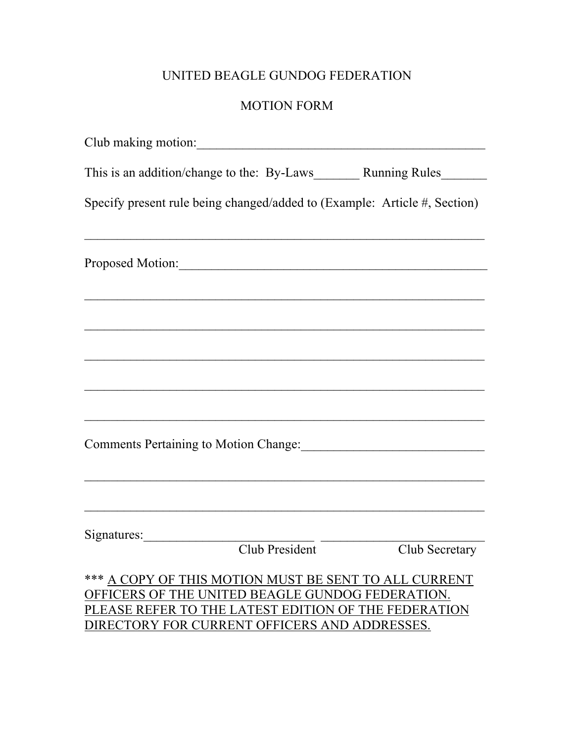### MOTION FORM

| Club making motion:                                                                                                                                                                                                |                                                             |  |
|--------------------------------------------------------------------------------------------------------------------------------------------------------------------------------------------------------------------|-------------------------------------------------------------|--|
|                                                                                                                                                                                                                    |                                                             |  |
| Specify present rule being changed/added to (Example: Article #, Section)                                                                                                                                          |                                                             |  |
| Proposed Motion:                                                                                                                                                                                                   |                                                             |  |
| <u> 1989 - Jan James James James James James James James James James James James James James James James James J</u>                                                                                               |                                                             |  |
|                                                                                                                                                                                                                    | <u> 1989 - Johann Stoff, amerikansk politiker (d. 1989)</u> |  |
|                                                                                                                                                                                                                    |                                                             |  |
| Comments Pertaining to Motion Change: Manual Allen Motion Change:                                                                                                                                                  |                                                             |  |
|                                                                                                                                                                                                                    |                                                             |  |
| Signatures: Club President Club Secretary                                                                                                                                                                          |                                                             |  |
| *** A COPY OF THIS MOTION MUST BE SENT TO ALL CURRENT<br>OFFICERS OF THE UNITED BEAGLE GUNDOG FEDERATION.<br>PLEASE REFER TO THE LATEST EDITION OF THE FEDERATION<br>DIRECTORY FOR CURRENT OFFICERS AND ADDRESSES. |                                                             |  |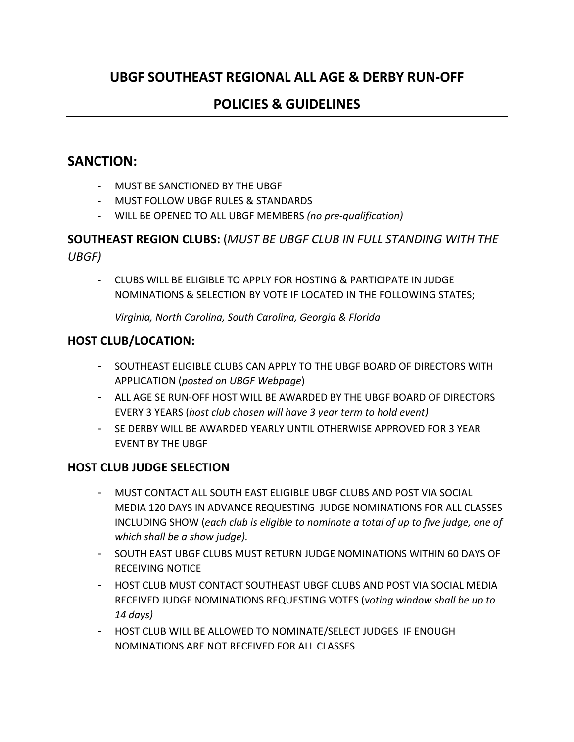## **UBGF SOUTHEAST REGIONAL ALL AGE & DERBY RUN-OFF**

## **POLICIES & GUIDELINES**

### **SANCTION:**

- MUST BE SANCTIONED BY THE UBGF
- MUST FOLLOW UBGF RULES & STANDARDS
- WILL BE OPENED TO ALL UBGF MEMBERS *(no pre-qualification)*

### **SOUTHEAST REGION CLUBS:** (*MUST BE UBGF CLUB IN FULL STANDING WITH THE UBGF)*

- CLUBS WILL BE ELIGIBLE TO APPLY FOR HOSTING & PARTICIPATE IN JUDGE NOMINATIONS & SELECTION BY VOTE IF LOCATED IN THE FOLLOWING STATES;

*Virginia, North Carolina, South Carolina, Georgia & Florida*

#### **HOST CLUB/LOCATION:**

- SOUTHEAST ELIGIBLE CLUBS CAN APPLY TO THE UBGF BOARD OF DIRECTORS WITH APPLICATION (*posted on UBGF Webpage*)
- ALL AGE SE RUN-OFF HOST WILL BE AWARDED BY THE UBGF BOARD OF DIRECTORS EVERY 3 YEARS (*host club chosen will have 3 year term to hold event)*
- SE DERBY WILL BE AWARDED YEARLY UNTIL OTHERWISE APPROVED FOR 3 YEAR EVENT BY THE UBGF

#### **HOST CLUB JUDGE SELECTION**

- MUST CONTACT ALL SOUTH EAST ELIGIBLE UBGF CLUBS AND POST VIA SOCIAL MEDIA 120 DAYS IN ADVANCE REQUESTING JUDGE NOMINATIONS FOR ALL CLASSES INCLUDING SHOW (*each club is eligible to nominate a total of up to five judge, one of which shall be a show judge).*
- SOUTH EAST UBGF CLUBS MUST RETURN JUDGE NOMINATIONS WITHIN 60 DAYS OF RECEIVING NOTICE
- HOST CLUB MUST CONTACT SOUTHEAST UBGF CLUBS AND POST VIA SOCIAL MEDIA RECEIVED JUDGE NOMINATIONS REQUESTING VOTES (*voting window shall be up to 14 days)*
- HOST CLUB WILL BE ALLOWED TO NOMINATE/SELECT JUDGES IF ENOUGH NOMINATIONS ARE NOT RECEIVED FOR ALL CLASSES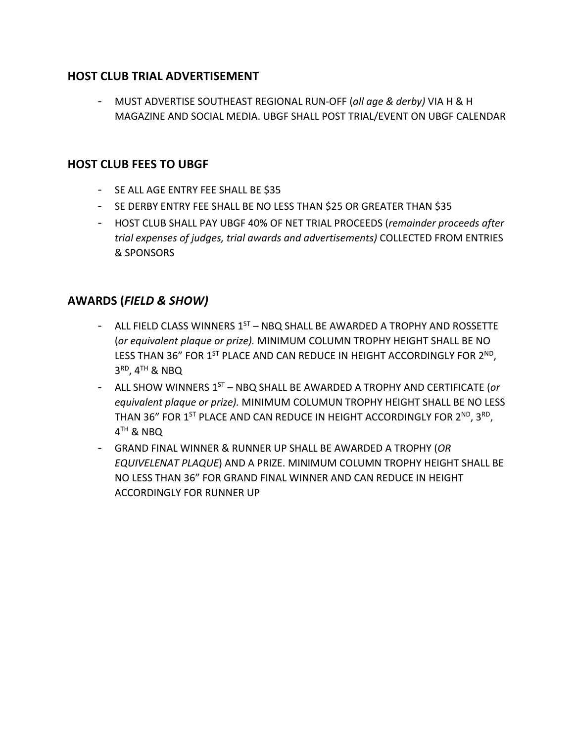#### **HOST CLUB TRIAL ADVERTISEMENT**

- MUST ADVERTISE SOUTHEAST REGIONAL RUN-OFF (*all age & derby)* VIA H & H MAGAZINE AND SOCIAL MEDIA. UBGF SHALL POST TRIAL/EVENT ON UBGF CALENDAR

### **HOST CLUB FEES TO UBGF**

- SE ALL AGE ENTRY FEE SHALL BE \$35
- SE DERBY ENTRY FEE SHALL BE NO LESS THAN \$25 OR GREATER THAN \$35
- HOST CLUB SHALL PAY UBGF 40% OF NET TRIAL PROCEEDS (*remainder proceeds after trial expenses of judges, trial awards and advertisements)* COLLECTED FROM ENTRIES & SPONSORS

### **AWARDS (***FIELD & SHOW)*

- ALL FIELD CLASS WINNERS  $1^{ST}$  NBO SHALL BE AWARDED A TROPHY AND ROSSETTE (*or equivalent plaque or prize).* MINIMUM COLUMN TROPHY HEIGHT SHALL BE NO LESS THAN 36" FOR 1<sup>ST</sup> PLACE AND CAN REDUCE IN HEIGHT ACCORDINGLY FOR 2<sup>ND</sup>,  $3<sup>RD</sup>$ ,  $4<sup>TH</sup>$  & NBQ
- ALL SHOW WINNERS 1ST NBQ SHALL BE AWARDED A TROPHY AND CERTIFICATE (*or equivalent plaque or prize).* MINIMUM COLUMUN TROPHY HEIGHT SHALL BE NO LESS THAN 36" FOR 1<sup>ST</sup> PLACE AND CAN REDUCE IN HEIGHT ACCORDINGLY FOR 2<sup>ND</sup>, 3<sup>RD</sup>,  $4<sup>TH</sup>$  & NBO
- GRAND FINAL WINNER & RUNNER UP SHALL BE AWARDED A TROPHY (*OR EQUIVELENAT PLAQUE*) AND A PRIZE. MINIMUM COLUMN TROPHY HEIGHT SHALL BE NO LESS THAN 36" FOR GRAND FINAL WINNER AND CAN REDUCE IN HEIGHT ACCORDINGLY FOR RUNNER UP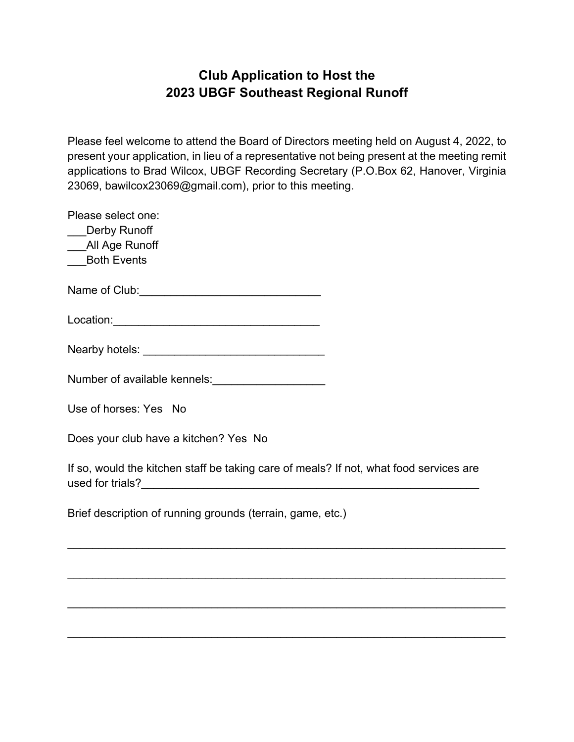## **Club Application to Host the 2023 UBGF Southeast Regional Runoff**

Please feel welcome to attend the Board of Directors meeting held on August 4, 2022, to present your application, in lieu of a representative not being present at the meeting remit applications to Brad Wilcox, UBGF Recording Secretary (P.O.Box 62, Hanover, Virginia 23069, bawilcox23069@gmail.com), prior to this meeting.

| Please select one:                                     |
|--------------------------------------------------------|
| ___Derby Runoff                                        |
| ___All Age Runoff                                      |
| ___Both Events                                         |
|                                                        |
| Location:__________________________                    |
| Nearby hotels: _________________________               |
| Number of available kennels:                           |
| Use of horses: Yes No                                  |
| Does your club have a kitchen? Yes No                  |
| If so, would the kitchen staff be taking care of meals |

P. If not, what food services are used for trials?\_\_\_\_\_\_\_\_\_\_\_\_\_\_\_\_\_\_\_\_\_\_\_\_\_\_\_\_\_\_\_\_\_\_\_\_\_\_\_\_\_\_\_\_\_\_\_\_\_\_\_\_\_\_

 $\mathcal{L}_\text{max} = \mathcal{L}_\text{max} = \mathcal{L}_\text{max} = \mathcal{L}_\text{max} = \mathcal{L}_\text{max} = \mathcal{L}_\text{max} = \mathcal{L}_\text{max} = \mathcal{L}_\text{max} = \mathcal{L}_\text{max} = \mathcal{L}_\text{max} = \mathcal{L}_\text{max} = \mathcal{L}_\text{max} = \mathcal{L}_\text{max} = \mathcal{L}_\text{max} = \mathcal{L}_\text{max} = \mathcal{L}_\text{max} = \mathcal{L}_\text{max} = \mathcal{L}_\text{max} = \mathcal{$ 

\_\_\_\_\_\_\_\_\_\_\_\_\_\_\_\_\_\_\_\_\_\_\_\_\_\_\_\_\_\_\_\_\_\_\_\_\_\_\_\_\_\_\_\_\_\_\_\_\_\_\_\_\_\_\_\_\_\_\_\_\_\_\_\_\_\_\_\_\_\_

 $\mathcal{L}_\text{max} = \mathcal{L}_\text{max} = \mathcal{L}_\text{max} = \mathcal{L}_\text{max} = \mathcal{L}_\text{max} = \mathcal{L}_\text{max} = \mathcal{L}_\text{max} = \mathcal{L}_\text{max} = \mathcal{L}_\text{max} = \mathcal{L}_\text{max} = \mathcal{L}_\text{max} = \mathcal{L}_\text{max} = \mathcal{L}_\text{max} = \mathcal{L}_\text{max} = \mathcal{L}_\text{max} = \mathcal{L}_\text{max} = \mathcal{L}_\text{max} = \mathcal{L}_\text{max} = \mathcal{$ 

\_\_\_\_\_\_\_\_\_\_\_\_\_\_\_\_\_\_\_\_\_\_\_\_\_\_\_\_\_\_\_\_\_\_\_\_\_\_\_\_\_\_\_\_\_\_\_\_\_\_\_\_\_\_\_\_\_\_\_\_\_\_\_\_\_\_\_\_\_\_

Brief description of running grounds (terrain, game, etc.)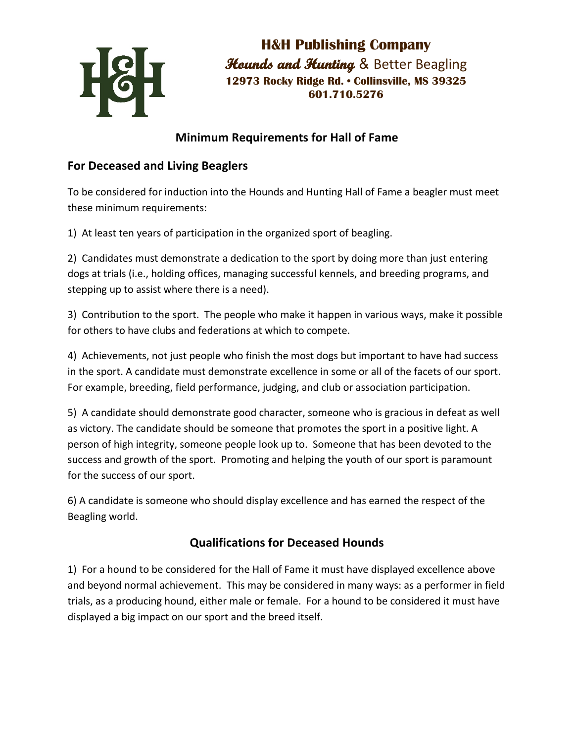

**H&H Publishing Company Hounds and Hunting & Better Beagling 12973 Rocky Ridge Rd. • Collinsville, MS 39325 601.710.5276**

# **Minimum Requirements for Hall of Fame**

### **For Deceased and Living Beaglers**

To be considered for induction into the Hounds and Hunting Hall of Fame a beagler must meet these minimum requirements:

1) At least ten years of participation in the organized sport of beagling.

2) Candidates must demonstrate a dedication to the sport by doing more than just entering dogs at trials (i.e., holding offices, managing successful kennels, and breeding programs, and stepping up to assist where there is a need).

3) Contribution to the sport. The people who make it happen in various ways, make it possible for others to have clubs and federations at which to compete.

4) Achievements, not just people who finish the most dogs but important to have had success in the sport. A candidate must demonstrate excellence in some or all of the facets of our sport. For example, breeding, field performance, judging, and club or association participation.

5) A candidate should demonstrate good character, someone who is gracious in defeat as well as victory. The candidate should be someone that promotes the sport in a positive light. A person of high integrity, someone people look up to. Someone that has been devoted to the success and growth of the sport. Promoting and helping the youth of our sport is paramount for the success of our sport.

6) A candidate is someone who should display excellence and has earned the respect of the Beagling world.

### **Qualifications for Deceased Hounds**

1) For a hound to be considered for the Hall of Fame it must have displayed excellence above and beyond normal achievement. This may be considered in many ways: as a performer in field trials, as a producing hound, either male or female. For a hound to be considered it must have displayed a big impact on our sport and the breed itself.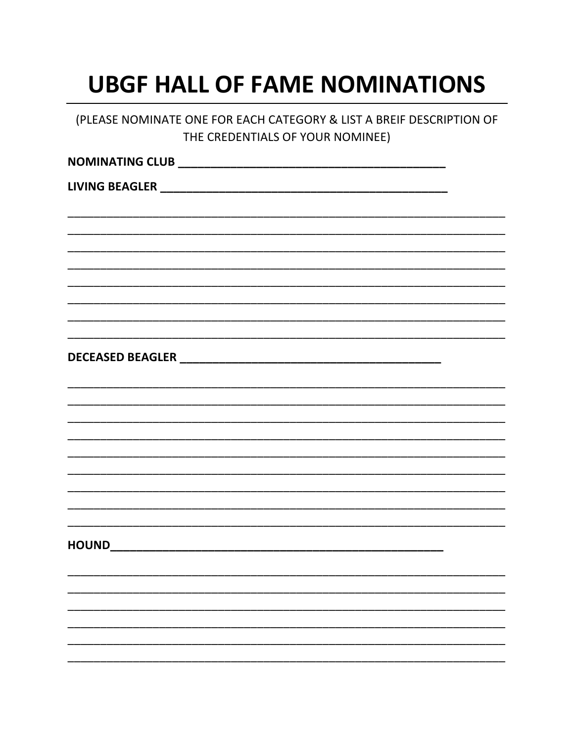# **UBGF HALL OF FAME NOMINATIONS**

| (PLEASE NOMINATE ONE FOR EACH CATEGORY & LIST A BREIF DESCRIPTION OF<br>THE CREDENTIALS OF YOUR NOMINEE) |  |  |  |
|----------------------------------------------------------------------------------------------------------|--|--|--|
|                                                                                                          |  |  |  |
|                                                                                                          |  |  |  |
|                                                                                                          |  |  |  |
|                                                                                                          |  |  |  |
|                                                                                                          |  |  |  |
|                                                                                                          |  |  |  |
|                                                                                                          |  |  |  |
|                                                                                                          |  |  |  |
|                                                                                                          |  |  |  |
|                                                                                                          |  |  |  |
|                                                                                                          |  |  |  |
|                                                                                                          |  |  |  |
|                                                                                                          |  |  |  |
| HOUND                                                                                                    |  |  |  |
|                                                                                                          |  |  |  |
|                                                                                                          |  |  |  |
|                                                                                                          |  |  |  |
|                                                                                                          |  |  |  |